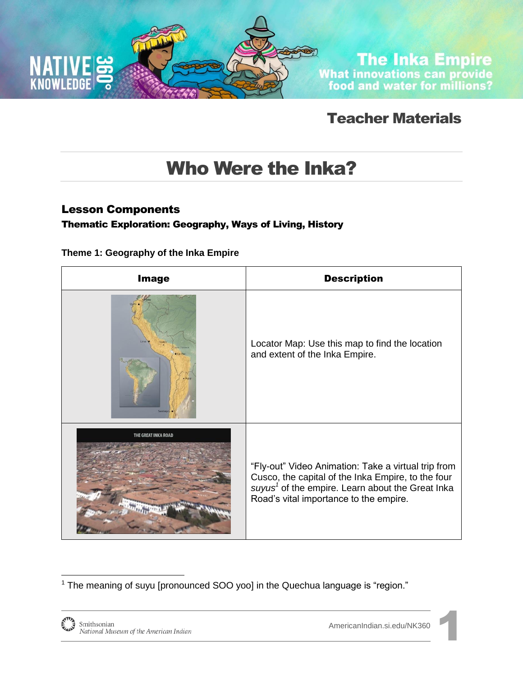

**The Inka Empire**<br>What innovations can provide<br>food and water for millions?

## Teacher Materials

# Who Were the Inka?

### Lesson Components

#### Thematic Exploration: Geography, Ways of Living, History

**Theme 1: Geography of the Inka Empire**

| <b>Image</b>        | <b>Description</b>                                                                                                                                                                                                  |
|---------------------|---------------------------------------------------------------------------------------------------------------------------------------------------------------------------------------------------------------------|
|                     | Locator Map: Use this map to find the location<br>and extent of the Inka Empire.                                                                                                                                    |
| THE GREAT INKA ROAD | "Fly-out" Video Animation: Take a virtual trip from<br>Cusco, the capital of the Inka Empire, to the four<br>suyus <sup>1</sup> of the empire. Learn about the Great Inka<br>Road's vital importance to the empire. |

 $1$  The meaning of suyu [pronounced SOO yoo] in the Quechua language is "region."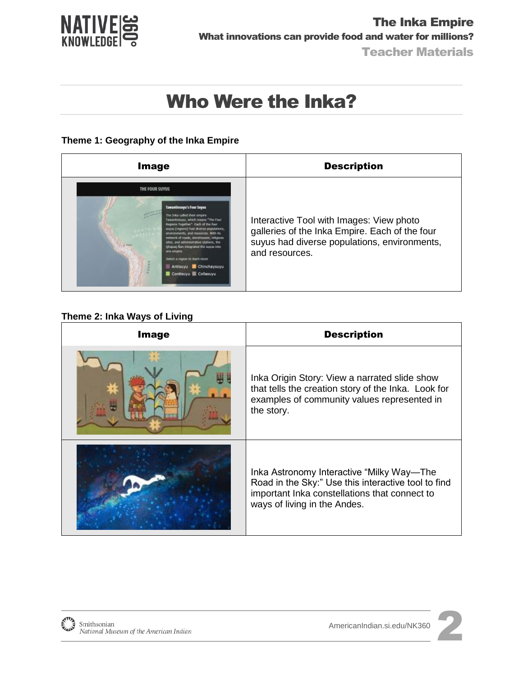

#### **Theme 1: Geography of the Inka Empire**

| <b>Image</b>                                                                                                                                                                                                                                                                                                                                                                                                                                                                               | <b>Description</b>                                                                                                                                           |
|--------------------------------------------------------------------------------------------------------------------------------------------------------------------------------------------------------------------------------------------------------------------------------------------------------------------------------------------------------------------------------------------------------------------------------------------------------------------------------------------|--------------------------------------------------------------------------------------------------------------------------------------------------------------|
| THE FOUR SUYUS<br><b>Tawantinsuyu's Four Suyus</b><br>The Inka called their empire<br>Tawantinsuyu, which means "The Four<br>Regions Together*. Each of the four<br>suyus (regions) had diverse populations,<br>environments, and resources. With its<br>network of roads; stanshouses; religious<br>sites, and administrative stations, the<br>Ohapag Nan integrated the suyus into<br>one empire<br>Select a region to learn more<br>Antisuyu Chinchaysuyu<br>Contisuyu <b>Collasuyu</b> | Interactive Tool with Images: View photo<br>galleries of the Inka Empire. Each of the four<br>suyus had diverse populations, environments,<br>and resources. |

#### **Theme 2: Inka Ways of Living**

| <b>Image</b> | <b>Description</b>                                                                                                                                                                |
|--------------|-----------------------------------------------------------------------------------------------------------------------------------------------------------------------------------|
|              | Inka Origin Story: View a narrated slide show<br>that tells the creation story of the Inka. Look for<br>examples of community values represented in<br>the story.                 |
|              | Inka Astronomy Interactive "Milky Way-The<br>Road in the Sky:" Use this interactive tool to find<br>important Inka constellations that connect to<br>ways of living in the Andes. |



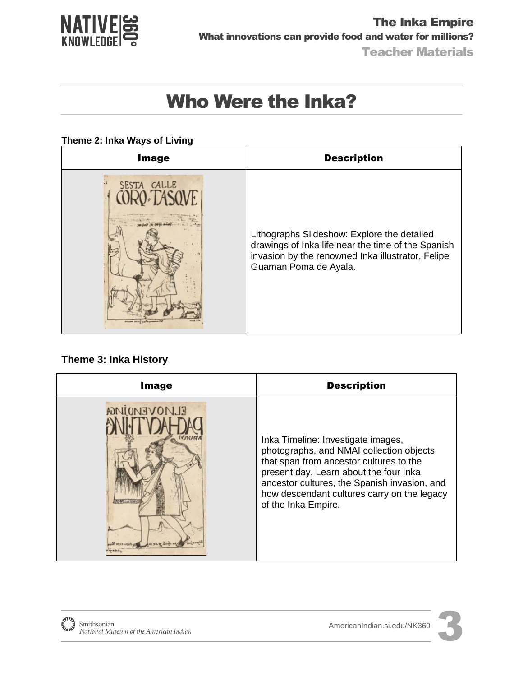

#### **Theme 2: Inka Ways of Living**

| <b>Image</b> | <b>Description</b>                                                                                                                                                              |
|--------------|---------------------------------------------------------------------------------------------------------------------------------------------------------------------------------|
| SESTA CALLE  | Lithographs Slideshow: Explore the detailed<br>drawings of Inka life near the time of the Spanish<br>invasion by the renowned Inka illustrator, Felipe<br>Guaman Poma de Ayala. |

#### **Theme 3: Inka History**

| <b>Image</b>                                                               | <b>Description</b>                                                                                                                                                                                                                                                                        |
|----------------------------------------------------------------------------|-------------------------------------------------------------------------------------------------------------------------------------------------------------------------------------------------------------------------------------------------------------------------------------------|
| <b>ELMOVEMOIMGA</b><br><b>Milled Breakfall</b><br>moine of the first years | Inka Timeline: Investigate images,<br>photographs, and NMAI collection objects<br>that span from ancestor cultures to the<br>present day. Learn about the four Inka<br>ancestor cultures, the Spanish invasion, and<br>how descendant cultures carry on the legacy<br>of the Inka Empire. |

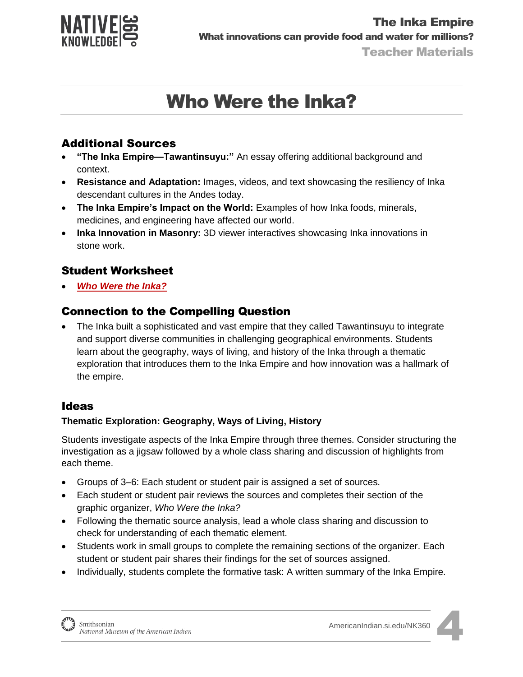

### Additional Sources

- **"The Inka Empire—Tawantinsuyu:"** An essay offering additional background and context.
- **Resistance and Adaptation:** Images, videos, and text showcasing the resiliency of Inka descendant cultures in the Andes today.
- **The Inka Empire's Impact on the World:** Examples of how Inka foods, minerals, medicines, and engineering have affected our world.
- **Inka Innovation in Masonry:** 3D viewer interactives showcasing Inka innovations in stone work.

### Student Worksheet

*[Who Were the Inka?](http://americanindian.si.edu/nk360/inka-water/pdf/Student-Instructions-SQ1-InkaRoad-WaterManagement-ENGLISH.pdf)*

### Connection to the Compelling Question

 The Inka built a sophisticated and vast empire that they called Tawantinsuyu to integrate and support diverse communities in challenging geographical environments. Students learn about the geography, ways of living, and history of the Inka through a thematic exploration that introduces them to the Inka Empire and how innovation was a hallmark of the empire.

### Ideas

#### **Thematic Exploration: Geography, Ways of Living, History**

Students investigate aspects of the Inka Empire through three themes. Consider structuring the investigation as a jigsaw followed by a whole class sharing and discussion of highlights from each theme.

- Groups of 3–6: Each student or student pair is assigned a set of sources.
- Each student or student pair reviews the sources and completes their section of the graphic organizer, *Who Were the Inka?*
- Following the thematic source analysis, lead a whole class sharing and discussion to check for understanding of each thematic element.
- Students work in small groups to complete the remaining sections of the organizer. Each student or student pair shares their findings for the set of sources assigned.
- Individually, students complete the formative task: A written summary of the Inka Empire.